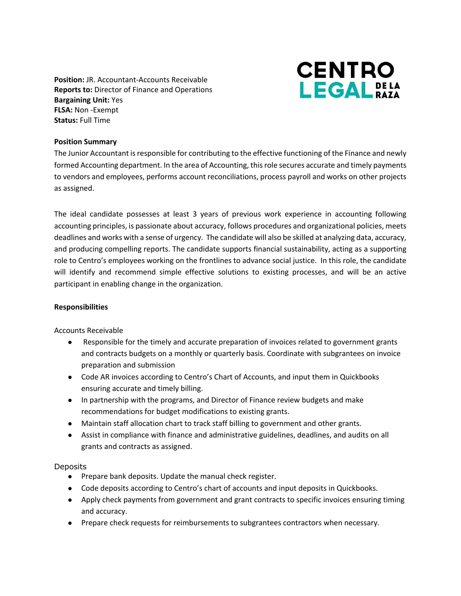**Position:** JR. Accountant-Accounts Receivable **Reports to:** Director of Finance and Operations **Bargaining Unit:** Yes **FLSA:** Non -Exempt **Status:** Full Time



### **Position Summary**

The Junior Accountant is responsible for contributing to the effective functioning of the Finance and newly formed Accounting department. In the area of Accounting, this role secures accurate and timely payments to vendors and employees, performs account reconciliations, process payroll and works on other projects as assigned.

The ideal candidate possesses at least 3 years of previous work experience in accounting following accounting principles, is passionate about accuracy, follows procedures and organizational policies, meets deadlines and works with a sense of urgency. The candidate will also be skilled at analyzing data, accuracy, and producing compelling reports. The candidate supports financial sustainability, acting as a supporting role to Centro's employees working on the frontlines to advance social justice. In this role, the candidate will identify and recommend simple effective solutions to existing processes, and will be an active participant in enabling change in the organization.

#### **Responsibilities**

Accounts Receivable

- Responsible for the timely and accurate preparation of invoices related to government grants and contracts budgets on a monthly or quarterly basis. Coordinate with subgrantees on invoice preparation and submission
- Code AR invoices according to Centro's Chart of Accounts, and input them in Quickbooks ensuring accurate and timely billing.
- In partnership with the programs, and Director of Finance review budgets and make recommendations for budget modifications to existing grants.
- Maintain staff allocation chart to track staff billing to government and other grants.
- Assist in compliance with finance and administrative guidelines, deadlines, and audits on all grants and contracts as assigned.

#### **Deposits**

- Prepare bank deposits. Update the manual check register.
- Code deposits according to Centro's chart of accounts and input deposits in Quickbooks.
- Apply check payments from government and grant contracts to specific invoices ensuring timing and accuracy.
- Prepare check requests for reimbursements to subgrantees contractors when necessary.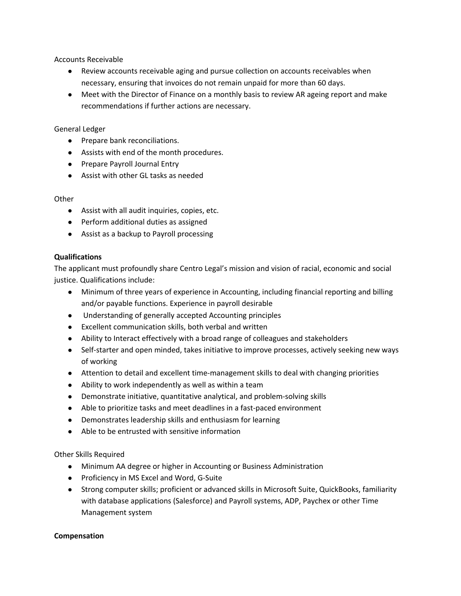Accounts Receivable

- Review accounts receivable aging and pursue collection on accounts receivables when necessary, ensuring that invoices do not remain unpaid for more than 60 days.
- Meet with the Director of Finance on a monthly basis to review AR ageing report and make recommendations if further actions are necessary.

## General Ledger

- Prepare bank reconciliations.
- Assists with end of the month procedures.
- Prepare Payroll Journal Entry
- Assist with other GL tasks as needed

# **Other**

- Assist with all audit inquiries, copies, etc.
- Perform additional duties as assigned
- Assist as a backup to Payroll processing

# **Qualifications**

The applicant must profoundly share Centro Legal's mission and vision of racial, economic and social justice. Qualifications include:

- Minimum of three years of experience in Accounting, including financial reporting and billing and/or payable functions. Experience in payroll desirable
- Understanding of generally accepted Accounting principles
- Excellent communication skills, both verbal and written
- Ability to Interact effectively with a broad range of colleagues and stakeholders
- Self-starter and open minded, takes initiative to improve processes, actively seeking new ways of working
- Attention to detail and excellent time-management skills to deal with changing priorities
- Ability to work independently as well as within a team
- Demonstrate initiative, quantitative analytical, and problem-solving skills
- Able to prioritize tasks and meet deadlines in a fast-paced environment
- Demonstrates leadership skills and enthusiasm for learning
- Able to be entrusted with sensitive information

Other Skills Required

- Minimum AA degree or higher in Accounting or Business Administration
- Proficiency in MS Excel and Word, G-Suite
- Strong computer skills; proficient or advanced skills in Microsoft Suite, QuickBooks, familiarity with database applications (Salesforce) and Payroll systems, ADP, Paychex or other Time Management system

### **Compensation**